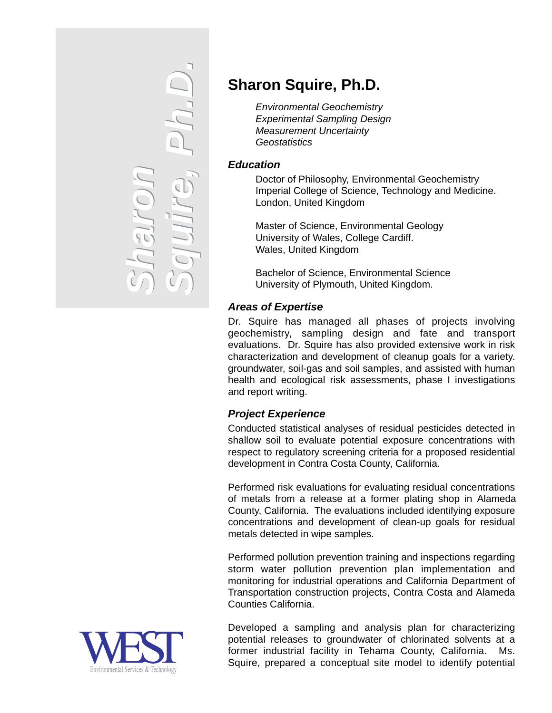

# **Sharon Squire, Ph.D.**

*Environmental Geochemistry Experimental Sampling Design Measurement Uncertainty Geostatistics*

### *Education*

Doctor of Philosophy, Environmental Geochemistry Imperial College of Science, Technology and Medicine. London, United Kingdom

Master of Science, Environmental Geology University of Wales, College Cardiff. Wales, United Kingdom

Bachelor of Science, Environmental Science University of Plymouth, United Kingdom.

## *Areas of Expertise*

Dr. Squire has managed all phases of projects involving geochemistry, sampling design and fate and transport evaluations. Dr. Squire has also provided extensive work in risk characterization and development of cleanup goals for a variety. groundwater, soil-gas and soil samples, and assisted with human health and ecological risk assessments, phase I investigations and report writing.

### *Project Experience*

Conducted statistical analyses of residual pesticides detected in shallow soil to evaluate potential exposure concentrations with respect to regulatory screening criteria for a proposed residential development in Contra Costa County, California.

Performed risk evaluations for evaluating residual concentrations of metals from a release at a former plating shop in Alameda County, California. The evaluations included identifying exposure concentrations and development of clean-up goals for residual metals detected in wipe samples.

Performed pollution prevention training and inspections regarding storm water pollution prevention plan implementation and monitoring for industrial operations and California Department of Transportation construction projects, Contra Costa and Alameda Counties California.

Environmental Services & Technology

Developed a sampling and analysis plan for characterizing potential releases to groundwater of chlorinated solvents at a former industrial facility in Tehama County, California. Ms. Squire, prepared a conceptual site model to identify potential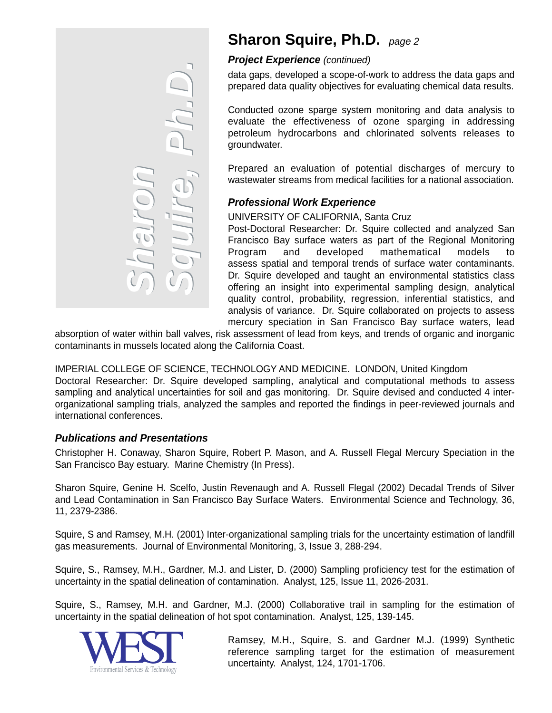

## **Sharon Squire, Ph.D.** *page <sup>2</sup>*

#### *Project Experience (continued)*

data gaps, developed a scope-of-work to address the data gaps and prepared data quality objectives for evaluating chemical data results.

Conducted ozone sparge system monitoring and data analysis to evaluate the effectiveness of ozone sparging in addressing petroleum hydrocarbons and chlorinated solvents releases to groundwater.

Prepared an evaluation of potential discharges of mercury to wastewater streams from medical facilities for a national association.

### *Professional Work Experience*

#### UNIVERSITY OF CALIFORNIA, Santa Cruz

Post-Doctoral Researcher: Dr. Squire collected and analyzed San Francisco Bay surface waters as part of the Regional Monitoring Program and developed mathematical models to assess spatial and temporal trends of surface water contaminants. Dr. Squire developed and taught an environmental statistics class offering an insight into experimental sampling design, analytical quality control, probability, regression, inferential statistics, and analysis of variance. Dr. Squire collaborated on projects to assess mercury speciation in San Francisco Bay surface waters, lead

absorption of water within ball valves, risk assessment of lead from keys, and trends of organic and inorganic contaminants in mussels located along the California Coast.

IMPERIAL COLLEGE OF SCIENCE, TECHNOLOGY AND MEDICINE. LONDON, United Kingdom Doctoral Researcher: Dr. Squire developed sampling, analytical and computational methods to assess sampling and analytical uncertainties for soil and gas monitoring. Dr. Squire devised and conducted 4 interorganizational sampling trials, analyzed the samples and reported the findings in peer-reviewed journals and international conferences.

#### *Publications and Presentations*

Christopher H. Conaway, Sharon Squire, Robert P. Mason, and A. Russell Flegal Mercury Speciation in the San Francisco Bay estuary. Marine Chemistry (In Press).

Sharon Squire, Genine H. Scelfo, Justin Revenaugh and A. Russell Flegal (2002) Decadal Trends of Silver and Lead Contamination in San Francisco Bay Surface Waters. Environmental Science and Technology, 36, 11, 2379-2386.

Squire, S and Ramsey, M.H. (2001) Inter-organizational sampling trials for the uncertainty estimation of landfill gas measurements. Journal of Environmental Monitoring, 3, Issue 3, 288-294.

Squire, S., Ramsey, M.H., Gardner, M.J. and Lister, D. (2000) Sampling proficiency test for the estimation of uncertainty in the spatial delineation of contamination. Analyst, 125, Issue 11, 2026-2031.

Squire, S., Ramsey, M.H. and Gardner, M.J. (2000) Collaborative trail in sampling for the estimation of uncertainty in the spatial delineation of hot spot contamination. Analyst, 125, 139-145.



Ramsey, M.H., Squire, S. and Gardner M.J. (1999) Synthetic reference sampling target for the estimation of measurement uncertainty. Analyst, 124, 1701-1706.